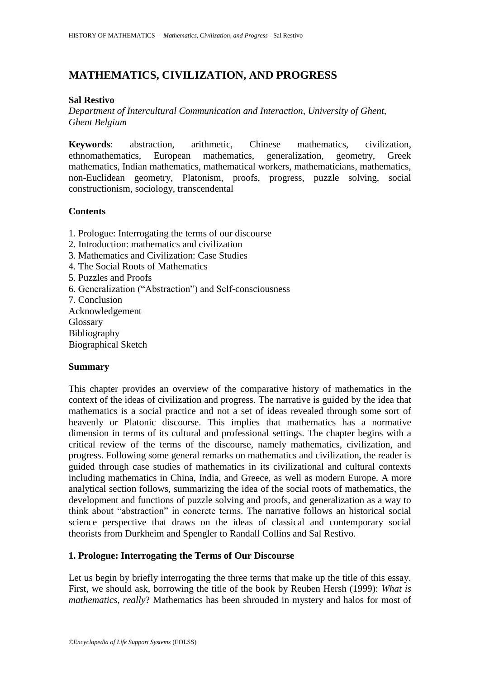# **MATHEMATICS, CIVILIZATION, AND PROGRESS**

## **Sal Restivo**

*Department of Intercultural Communication and Interaction, University of Ghent, Ghent Belgium*

**Keywords**: abstraction, arithmetic, Chinese mathematics, civilization, ethnomathematics, European mathematics, generalization, geometry, Greek mathematics, Indian mathematics, mathematical workers, mathematicians, mathematics, non-Euclidean geometry, Platonism, proofs, progress, puzzle solving, social constructionism, sociology, transcendental

# **Contents**

- 1. Prologue: Interrogating the terms of our discourse
- 2. Introduction: mathematics and civilization
- 3. Mathematics and Civilization: Case Studies
- 4. The Social Roots of Mathematics
- 5. Puzzles and Proofs
- 6. Generalization ("Abstraction") and Self-consciousness
- 7. Conclusion

Acknowledgement Glossary Bibliography Biographical Sketch

### **Summary**

This chapter provides an overview of the comparative history of mathematics in the context of the ideas of civilization and progress. The narrative is guided by the idea that mathematics is a social practice and not a set of ideas revealed through some sort of heavenly or Platonic discourse. This implies that mathematics has a normative dimension in terms of its cultural and professional settings. The chapter begins with a critical review of the terms of the discourse, namely mathematics, civilization, and progress. Following some general remarks on mathematics and civilization, the reader is guided through case studies of mathematics in its civilizational and cultural contexts including mathematics in China, India, and Greece, as well as modern Europe. A more analytical section follows, summarizing the idea of the social roots of mathematics, the development and functions of puzzle solving and proofs, and generalization as a way to think about "abstraction" in concrete terms. The narrative follows an historical social science perspective that draws on the ideas of classical and contemporary social theorists from Durkheim and Spengler to Randall Collins and Sal Restivo.

# **1. Prologue: Interrogating the Terms of Our Discourse**

Let us begin by briefly interrogating the three terms that make up the title of this essay. First, we should ask, borrowing the title of the book by Reuben Hersh (1999): *What is mathematics, really*? Mathematics has been shrouded in mystery and halos for most of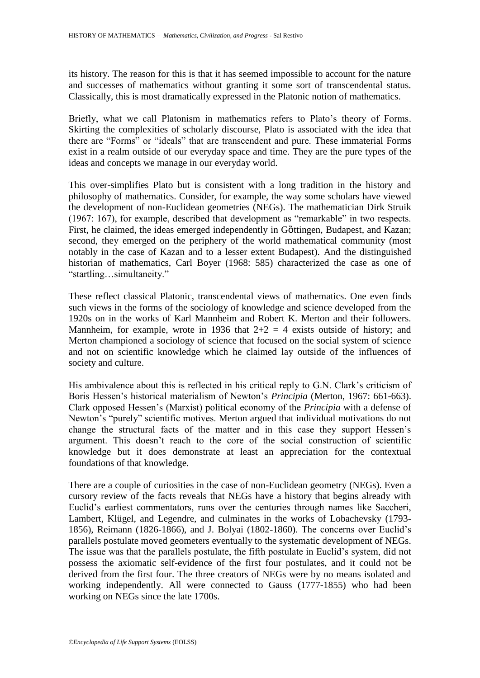its history. The reason for this is that it has seemed impossible to account for the nature and successes of mathematics without granting it some sort of transcendental status. Classically, this is most dramatically expressed in the Platonic notion of mathematics.

Briefly, what we call Platonism in mathematics refers to Plato's theory of Forms. Skirting the complexities of scholarly discourse, Plato is associated with the idea that there are "Forms" or "ideals" that are transcendent and pure. These immaterial Forms exist in a realm outside of our everyday space and time. They are the pure types of the ideas and concepts we manage in our everyday world.

This over-simplifies Plato but is consistent with a long tradition in the history and philosophy of mathematics. Consider, for example, the way some scholars have viewed the development of non-Euclidean geometries (NEGs). The mathematician Dirk Struik (1967: 167), for example, described that development as "remarkable" in two respects. First, he claimed, the ideas emerged independently in Göttingen, Budapest, and Kazan; second, they emerged on the periphery of the world mathematical community (most notably in the case of Kazan and to a lesser extent Budapest). And the distinguished historian of mathematics, Carl Boyer (1968: 585) characterized the case as one of "startling…simultaneity."

These reflect classical Platonic, transcendental views of mathematics. One even finds such views in the forms of the sociology of knowledge and science developed from the 1920s on in the works of Karl Mannheim and Robert K. Merton and their followers. Mannheim, for example, wrote in 1936 that  $2+2 = 4$  exists outside of history; and Merton championed a sociology of science that focused on the social system of science and not on scientific knowledge which he claimed lay outside of the influences of society and culture.

His ambivalence about this is reflected in his critical reply to G.N. Clark's criticism of Boris Hessen"s historical materialism of Newton"s *Principia* (Merton, 1967: 661-663). Clark opposed Hessen"s (Marxist) political economy of the *Principia* with a defense of Newton"s "purely" scientific motives. Merton argued that individual motivations do not change the structural facts of the matter and in this case they support Hessen"s argument. This doesn"t reach to the core of the social construction of scientific knowledge but it does demonstrate at least an appreciation for the contextual foundations of that knowledge.

There are a couple of curiosities in the case of non-Euclidean geometry (NEGs). Even a cursory review of the facts reveals that NEGs have a history that begins already with Euclid"s earliest commentators, runs over the centuries through names like Saccheri, Lambert, Klügel, and Legendre, and culminates in the works of Lobachevsky (1793- 1856), Reimann (1826-1866), and J. Bolyai (1802-1860). The concerns over Euclid"s parallels postulate moved geometers eventually to the systematic development of NEGs. The issue was that the parallels postulate, the fifth postulate in Euclid's system, did not possess the axiomatic self-evidence of the first four postulates, and it could not be derived from the first four. The three creators of NEGs were by no means isolated and working independently. All were connected to Gauss (1777-1855) who had been working on NEGs since the late 1700s.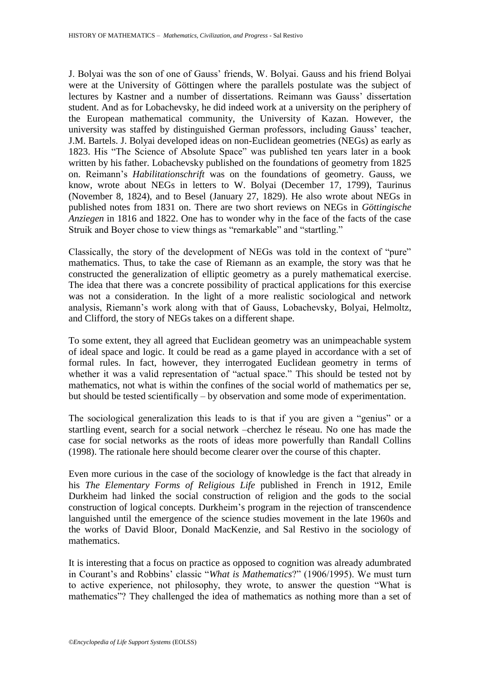J. Bolyai was the son of one of Gauss" friends, W. Bolyai. Gauss and his friend Bolyai were at the University of Göttingen where the parallels postulate was the subject of lectures by Kastner and a number of dissertations. Reimann was Gauss' dissertation student. And as for Lobachevsky, he did indeed work at a university on the periphery of the European mathematical community, the University of Kazan. However, the university was staffed by distinguished German professors, including Gauss" teacher, J.M. Bartels. J. Bolyai developed ideas on non-Euclidean geometries (NEGs) as early as 1823. His "The Science of Absolute Space" was published ten years later in a book written by his father. Lobachevsky published on the foundations of geometry from 1825 on. Reimann"s *Habilitationschrift* was on the foundations of geometry. Gauss, we know, wrote about NEGs in letters to W. Bolyai (December 17, 1799), Taurinus (November 8, 1824), and to Besel (January 27, 1829). He also wrote about NEGs in published notes from 1831 on. There are two short reviews on NEGs in *Göttingische Anziegen* in 1816 and 1822. One has to wonder why in the face of the facts of the case Struik and Boyer chose to view things as "remarkable" and "startling."

Classically, the story of the development of NEGs was told in the context of "pure" mathematics. Thus, to take the case of Riemann as an example, the story was that he constructed the generalization of elliptic geometry as a purely mathematical exercise. The idea that there was a concrete possibility of practical applications for this exercise was not a consideration. In the light of a more realistic sociological and network analysis, Riemann"s work along with that of Gauss, Lobachevsky, Bolyai, Helmoltz, and Clifford, the story of NEGs takes on a different shape.

To some extent, they all agreed that Euclidean geometry was an unimpeachable system of ideal space and logic. It could be read as a game played in accordance with a set of formal rules. In fact, however, they interrogated Euclidean geometry in terms of whether it was a valid representation of "actual space." This should be tested not by mathematics, not what is within the confines of the social world of mathematics per se, but should be tested scientifically – by observation and some mode of experimentation.

The sociological generalization this leads to is that if you are given a "genius" or a startling event, search for a social network –cherchez le réseau. No one has made the case for social networks as the roots of ideas more powerfully than Randall Collins (1998). The rationale here should become clearer over the course of this chapter.

Even more curious in the case of the sociology of knowledge is the fact that already in his *The Elementary Forms of Religious Life* published in French in 1912, Emile Durkheim had linked the social construction of religion and the gods to the social construction of logical concepts. Durkheim"s program in the rejection of transcendence languished until the emergence of the science studies movement in the late 1960s and the works of David Bloor, Donald MacKenzie, and Sal Restivo in the sociology of mathematics.

It is interesting that a focus on practice as opposed to cognition was already adumbrated in Courant's and Robbins' classic "*What is Mathematics*?" (1906/1995). We must turn to active experience, not philosophy, they wrote, to answer the question "What is mathematics"? They challenged the idea of mathematics as nothing more than a set of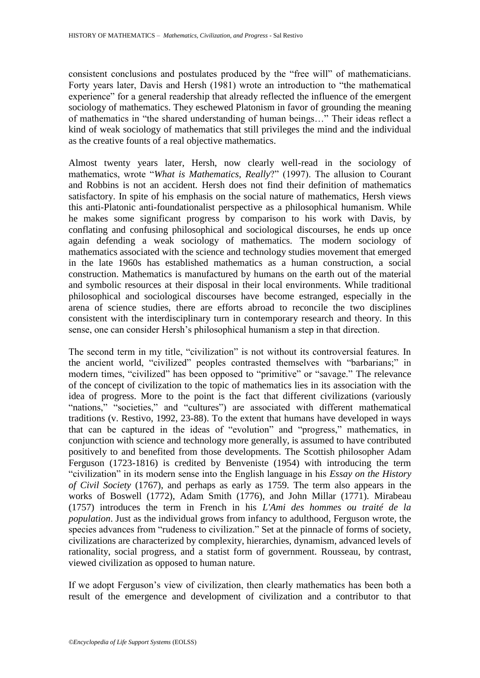consistent conclusions and postulates produced by the "free will" of mathematicians. Forty years later, Davis and Hersh (1981) wrote an introduction to "the mathematical experience" for a general readership that already reflected the influence of the emergent sociology of mathematics. They eschewed Platonism in favor of grounding the meaning of mathematics in "the shared understanding of human beings…" Their ideas reflect a kind of weak sociology of mathematics that still privileges the mind and the individual as the creative founts of a real objective mathematics.

Almost twenty years later, Hersh, now clearly well-read in the sociology of mathematics, wrote "*What is Mathematics, Really*?" (1997). The allusion to Courant and Robbins is not an accident. Hersh does not find their definition of mathematics satisfactory. In spite of his emphasis on the social nature of mathematics, Hersh views this anti-Platonic anti-foundationalist perspective as a philosophical humanism. While he makes some significant progress by comparison to his work with Davis, by conflating and confusing philosophical and sociological discourses, he ends up once again defending a weak sociology of mathematics. The modern sociology of mathematics associated with the science and technology studies movement that emerged in the late 1960s has established mathematics as a human construction, a social construction. Mathematics is manufactured by humans on the earth out of the material and symbolic resources at their disposal in their local environments. While traditional philosophical and sociological discourses have become estranged, especially in the arena of science studies, there are efforts abroad to reconcile the two disciplines consistent with the interdisciplinary turn in contemporary research and theory. In this sense, one can consider Hersh's philosophical humanism a step in that direction.

The second term in my title, "civilization" is not without its controversial features. In the ancient world, "civilized" peoples contrasted themselves with "barbarians;" in modern times, "civilized" has been opposed to "primitive" or "savage." The relevance of the concept of civilization to the topic of mathematics lies in its association with the idea of progress. More to the point is the fact that different civilizations (variously "nations," "societies," and "cultures") are associated with different mathematical traditions (v. Restivo, 1992, 23-88). To the extent that humans have developed in ways that can be captured in the ideas of "evolution" and "progress," mathematics, in conjunction with science and technology more generally, is assumed to have contributed positively to and benefited from those developments. The Scottish philosopher Adam Ferguson (1723-1816) is credited by Benveniste (1954) with introducing the term "civilization" in its modern sense into the English language in his *Essay on the History of Civil Society* (1767), and perhaps as early as 1759*.* The term also appears in the works of Boswell (1772), Adam Smith (1776), and John Millar (1771). Mirabeau (1757) introduces the term in French in his *L'Ami des hommes ou traité de la population*. Just as the individual grows from infancy to adulthood, Ferguson wrote, the species advances from "rudeness to civilization." Set at the pinnacle of forms of society, civilizations are characterized by complexity, hierarchies, dynamism, advanced levels of rationality, social progress, and a statist form of government. Rousseau, by contrast, viewed civilization as opposed to human nature.

If we adopt Ferguson"s view of civilization, then clearly mathematics has been both a result of the emergence and development of civilization and a contributor to that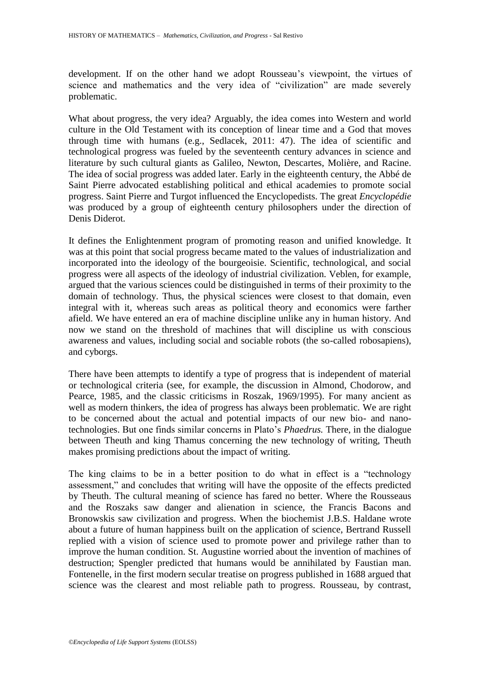development. If on the other hand we adopt Rousseau"s viewpoint, the virtues of science and mathematics and the very idea of "civilization" are made severely problematic.

What about progress, the very idea? Arguably, the idea comes into Western and world culture in the Old Testament with its conception of linear time and a God that moves through time with humans (e.g., Sedlacek, 2011: 47). The idea of scientific and technological progress was fueled by the seventeenth century advances in science and literature by such cultural giants as Galileo, Newton, Descartes, Molière, and Racine. The idea of social progress was added later. Early in the eighteenth century, the Abbé de Saint Pierre advocated establishing political and ethical academies to promote social progress. Saint Pierre and Turgot influenced the Encyclopedists. The great *[Encyclopédie](http://en.wikipedia.org/wiki/Encyclop%C3%A9die)* was produced by a group of eighteenth century philosophers under the direction of Denis Diderot.

It defines the Enlightenment program of promoting reason and unified knowledge. It was at this point that social progress became mated to the values of industrialization and incorporated into the ideology of the bourgeoisie. Scientific, technological, and social progress were all aspects of the ideology of industrial civilization. Veblen, for example, argued that the various sciences could be distinguished in terms of their proximity to the domain of technology. Thus, the physical sciences were closest to that domain, even integral with it, whereas such areas as political theory and economics were farther afield. We have entered an era of machine discipline unlike any in human history. And now we stand on the threshold of machines that will discipline us with conscious awareness and values, including social and sociable robots (the so-called robosapiens), and cyborgs.

There have been attempts to identify a type of progress that is independent of material or technological criteria (see, for example, the discussion in Almond, Chodorow, and Pearce, 1985, and the classic criticisms in Roszak, 1969/1995). For many ancient as well as modern thinkers, the idea of progress has always been problematic. We are right to be concerned about the actual and potential impacts of our new bio- and nanotechnologies. But one finds similar concerns in Plato"s *Phaedrus.* There, in the dialogue between Theuth and king Thamus concerning the new technology of writing, Theuth makes promising predictions about the impact of writing.

The king claims to be in a better position to do what in effect is a "technology assessment," and concludes that writing will have the opposite of the effects predicted by Theuth. The cultural meaning of science has fared no better. Where the Rousseaus and the Roszaks saw danger and alienation in science, the Francis Bacons and Bronowskis saw civilization and progress. When the biochemist J.B.S. Haldane wrote about a future of human happiness built on the application of science, Bertrand Russell replied with a vision of science used to promote power and privilege rather than to improve the human condition. St. Augustine worried about the invention of machines of destruction; Spengler predicted that humans would be annihilated by Faustian man. Fontenelle, in the first modern secular treatise on progress published in 1688 argued that science was the clearest and most reliable path to progress. Rousseau, by contrast,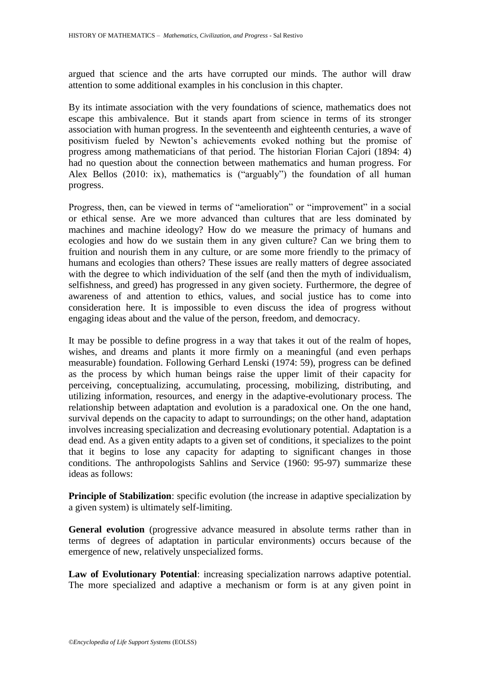argued that science and the arts have corrupted our minds. The author will draw attention to some additional examples in his conclusion in this chapter.

By its intimate association with the very foundations of science, mathematics does not escape this ambivalence. But it stands apart from science in terms of its stronger association with human progress. In the seventeenth and eighteenth centuries, a wave of positivism fueled by Newton"s achievements evoked nothing but the promise of progress among mathematicians of that period. The historian Florian Cajori (1894: 4) had no question about the connection between mathematics and human progress. For Alex Bellos (2010: ix), mathematics is ("arguably") the foundation of all human progress.

Progress, then, can be viewed in terms of "amelioration" or "improvement" in a social or ethical sense. Are we more advanced than cultures that are less dominated by machines and machine ideology? How do we measure the primacy of humans and ecologies and how do we sustain them in any given culture? Can we bring them to fruition and nourish them in any culture, or are some more friendly to the primacy of humans and ecologies than others? These issues are really matters of degree associated with the degree to which individuation of the self (and then the myth of individualism, selfishness, and greed) has progressed in any given society. Furthermore, the degree of awareness of and attention to ethics, values, and social justice has to come into consideration here. It is impossible to even discuss the idea of progress without engaging ideas about and the value of the person, freedom, and democracy.

It may be possible to define progress in a way that takes it out of the realm of hopes, wishes, and dreams and plants it more firmly on a meaningful (and even perhaps measurable) foundation. Following Gerhard Lenski (1974: 59), progress can be defined as the process by which human beings raise the upper limit of their capacity for perceiving, conceptualizing, accumulating, processing, mobilizing, distributing, and utilizing information, resources, and energy in the adaptive-evolutionary process. The relationship between adaptation and evolution is a paradoxical one. On the one hand, survival depends on the capacity to adapt to surroundings; on the other hand, adaptation involves increasing specialization and decreasing evolutionary potential. Adaptation is a dead end. As a given entity adapts to a given set of conditions, it specializes to the point that it begins to lose any capacity for adapting to significant changes in those conditions. The anthropologists Sahlins and Service (1960: 95-97) summarize these ideas as follows:

**Principle of Stabilization**: specific evolution (the increase in adaptive specialization by a given system) is ultimately self-limiting.

**General evolution** (progressive advance measured in absolute terms rather than in terms of degrees of adaptation in particular environments) occurs because of the emergence of new, relatively unspecialized forms.

**Law of Evolutionary Potential**: increasing specialization narrows adaptive potential. The more specialized and adaptive a mechanism or form is at any given point in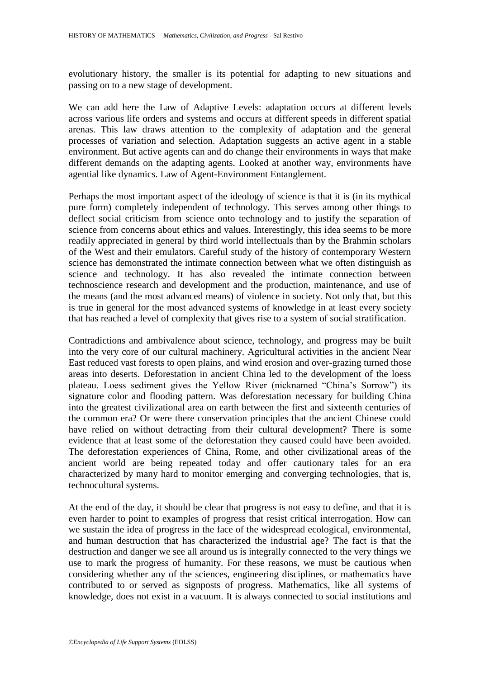evolutionary history, the smaller is its potential for adapting to new situations and passing on to a new stage of development.

We can add here the Law of Adaptive Levels: adaptation occurs at different levels across various life orders and systems and occurs at different speeds in different spatial arenas. This law draws attention to the complexity of adaptation and the general processes of variation and selection. Adaptation suggests an active agent in a stable environment. But active agents can and do change their environments in ways that make different demands on the adapting agents. Looked at another way, environments have agential like dynamics. Law of Agent-Environment Entanglement.

Perhaps the most important aspect of the ideology of science is that it is (in its mythical pure form) completely independent of technology. This serves among other things to deflect social criticism from science onto technology and to justify the separation of science from concerns about ethics and values. Interestingly, this idea seems to be more readily appreciated in general by third world intellectuals than by the Brahmin scholars of the West and their emulators. Careful study of the history of contemporary Western science has demonstrated the intimate connection between what we often distinguish as science and technology. It has also revealed the intimate connection between technoscience research and development and the production, maintenance, and use of the means (and the most advanced means) of violence in society. Not only that, but this is true in general for the most advanced systems of knowledge in at least every society that has reached a level of complexity that gives rise to a system of social stratification.

Contradictions and ambivalence about science, technology, and progress may be built into the very core of our cultural machinery. Agricultural activities in the ancient Near East reduced vast forests to open plains, and wind erosion and over-grazing turned those areas into deserts. Deforestation in ancient China led to the development of the loess plateau. Loess sediment gives the Yellow River (nicknamed "China"s Sorrow") its signature color and flooding pattern. Was deforestation necessary for building China into the greatest civilizational area on earth between the first and sixteenth centuries of the common era? Or were there conservation principles that the ancient Chinese could have relied on without detracting from their cultural development? There is some evidence that at least some of the deforestation they caused could have been avoided. The deforestation experiences of China, Rome, and other civilizational areas of the ancient world are being repeated today and offer cautionary tales for an era characterized by many hard to monitor emerging and converging technologies, that is, technocultural systems.

At the end of the day, it should be clear that progress is not easy to define, and that it is even harder to point to examples of progress that resist critical interrogation. How can we sustain the idea of progress in the face of the widespread ecological, environmental, and human destruction that has characterized the industrial age? The fact is that the destruction and danger we see all around us is integrally connected to the very things we use to mark the progress of humanity. For these reasons, we must be cautious when considering whether any of the sciences, engineering disciplines, or mathematics have contributed to or served as signposts of progress. Mathematics, like all systems of knowledge, does not exist in a vacuum. It is always connected to social institutions and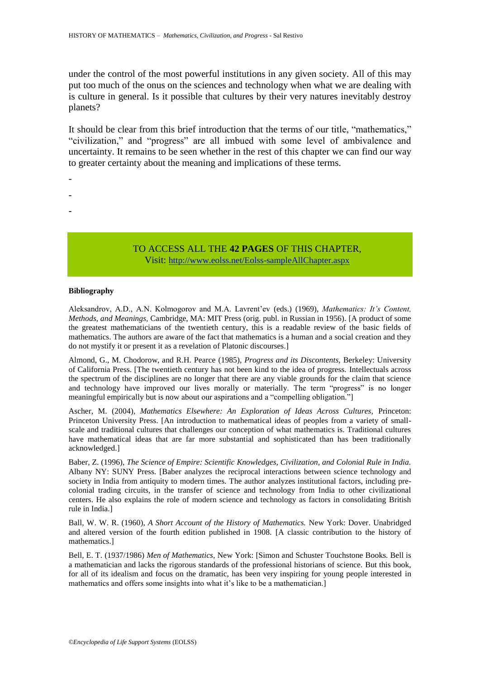under the control of the most powerful institutions in any given society. All of this may put too much of the onus on the sciences and technology when what we are dealing with is culture in general. Is it possible that cultures by their very natures inevitably destroy planets?

It should be clear from this brief introduction that the terms of our title, "mathematics," "civilization," and "progress" are all imbued with some level of ambivalence and uncertainty. It remains to be seen whether in the rest of this chapter we can find our way to greater certainty about the meaning and implications of these terms.

- -
- -
- -

TO ACCESS ALL THE **42 PAGES** OF THIS CHAPTER, Visit: <http://www.eolss.net/Eolss-sampleAllChapter.aspx>

#### **Bibliography**

Aleksandrov, A.D., A.N. Kolmogorov and M.A. Lavrent"ev (eds.) (1969), *Mathematics: It's Content, Methods, and Meanings,* Cambridge, MA: MIT Press (orig. publ. in Russian in 1956). [A product of some the greatest mathematicians of the twentieth century, this is a readable review of the basic fields of mathematics. The authors are aware of the fact that mathematics is a human and a social creation and they do not mystify it or present it as a revelation of Platonic discourses.]

Almond, G., M. Chodorow, and R.H. Pearce (1985), *Progress and its Discontents,* Berkeley: University of California Press. [The twentieth century has not been kind to the idea of progress. Intellectuals across the spectrum of the disciplines are no longer that there are any viable grounds for the claim that science and technology have improved our lives morally or materially. The term "progress" is no longer meaningful empirically but is now about our aspirations and a "compelling obligation."]

Ascher, M. (2004), *Mathematics Elsewhere: An Exploration of Ideas Across Cultures,* Princeton: Princeton University Press. [An introduction to mathematical ideas of peoples from a variety of smallscale and traditional cultures that challenges our conception of what mathematics is. Traditional cultures have mathematical ideas that are far more substantial and sophisticated than has been traditionally acknowledged.]

Baber, Z. (1996), *The Science of Empire: Scientific Knowledges, Civilization, and Colonial Rule in India.*  Albany NY: SUNY Press. [Baber analyzes the reciprocal interactions between science technology and society in India from antiquity to modern times. The author analyzes institutional factors, including precolonial trading circuits, in the transfer of science and technology from India to other civilizational centers. He also explains the role of modern science and technology as factors in consolidating British rule in India.]

Ball, W. W. R. (1960), *A Short Account of the History of Mathematics.* New York: Dover. Unabridged and altered version of the fourth edition published in 1908. [A classic contribution to the history of mathematics.]

Bell, E. T. (1937/1986) *Men of Mathematics*, New York: [Simon and Schuster Touchstone Books. Bell is a mathematician and lacks the rigorous standards of the professional historians of science. But this book, for all of its idealism and focus on the dramatic, has been very inspiring for young people interested in mathematics and offers some insights into what it's like to be a mathematician.]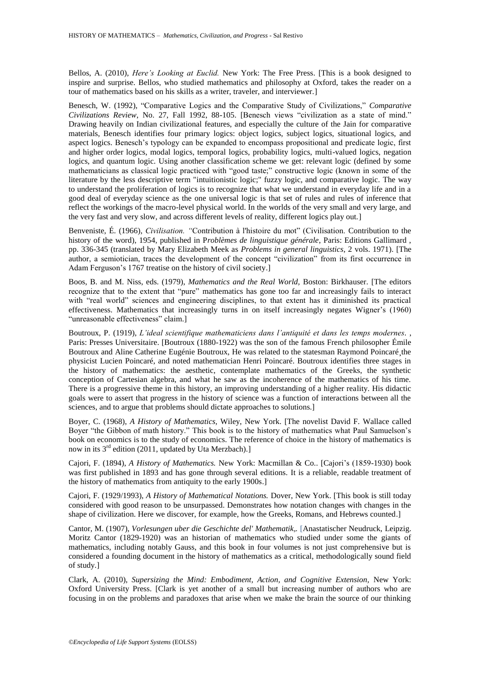Bellos, A. (2010), *Here's Looking at Euclid.* New York: The Free Press. [This is a book designed to inspire and surprise. Bellos, who studied mathematics and philosophy at Oxford, takes the reader on a tour of mathematics based on his skills as a writer, traveler, and interviewer.]

Benesch, W. (1992), "Comparative Logics and the Comparative Study of Civilizations," *Comparative Civilizations Review*, No. 27, Fall 1992, 88-105. [Benesch views "civilization as a state of mind." Drawing heavily on Indian civilizational features, and especially the culture of the Jain for comparative materials, Benesch identifies four primary logics: object logics, subject logics, situational logics, and aspect logics. Benesch"s typology can be expanded to encompass propositional and predicate logic, first and higher order logics, modal logics, temporal logics, probability logics, multi-valued logics, negation logics, and quantum logic. Using another classification scheme we get: relevant logic (defined by some mathematicians as classical logic practiced with "good taste;" constructive logic (known in some of the literature by the less descriptive term "intuitionistic logic;" fuzzy logic, and comparative logic. The way to understand the proliferation of logics is to recognize that what we understand in everyday life and in a good deal of everyday science as the one universal logic is that set of rules and rules of inference that reflect the workings of the macro-level physical world. In the worlds of the very small and very large, and the very fast and very slow, and across different levels of reality, different logics play out.]

Benveniste, É. (1966), *Civilisation. "*Contribution à l'histoire du mot" (Civilisation. Contribution to the history of the word), 1954, published in P*roblèmes de linguistique générale*, Paris: Editions Gallimard , pp. 336-345 (translated by Mary Elizabeth Meek as *Problems in general linguistics*, 2 vols. 1971). [The author, a semiotician, traces the development of the concept "civilization" from its first occurrence in Adam Ferguson"s 1767 treatise on the history of civil society.]

Boos, B. and M. Niss, eds. (1979), *Mathematics and the Real World,* Boston: Birkhauser. [The editors recognize that to the extent that "pure" mathematics has gone too far and increasingly fails to interact with "real world" sciences and engineering disciplines, to that extent has it diminished its practical effectiveness. Mathematics that increasingly turns in on itself increasingly negates Wigner"s (1960) "unreasonable effectiveness" claim.]

Boutroux, P. (1919), *L'ideal scientifique mathematiciens dans l'antiquité et dans les temps modernes.* , Paris: Presses Universitaire. [Boutroux (1880-1922) was the son of the famous French philosopher Émile Boutroux and Aline Catherine Eugénie Boutroux, He was related to the statesman Raymond Poincaré the physicist Lucien Poincaré, and noted mathematician Henri Poincaré. Boutroux identifies three stages in the history of mathematics: the aesthetic, contemplate mathematics of the Greeks, the synthetic conception of Cartesian algebra, and what he saw as the incoherence of the mathematics of his time. There is a progressive theme in this history, an improving understanding of a higher reality. His didactic goals were to assert that progress in the history of science was a function of interactions between all the sciences, and to argue that problems should dictate approaches to solutions.]

Boyer, C. (1968), *A History of Mathematics,* Wiley, New York. [The novelist David F. Wallace called Boyer "the Gibbon of math history." This book is to the history of mathematics what Paul Samuelson's book on economics is to the study of economics. The reference of choice in the history of mathematics is now in its  $3<sup>rd</sup>$  edition (2011, updated by Uta Merzbach).]

Cajori, F. (1894), *A History of Mathematics.* New York: Macmillan & Co.. [Cajori"s (1859-1930) book was first published in 1893 and has gone through several editions. It is a reliable, readable treatment of the history of mathematics from antiquity to the early 1900s.]

Cajori, F. (1929/1993), *A History of Mathematical Notations.* Dover, New York. [This book is still today considered with good reason to be unsurpassed. Demonstrates how notation changes with changes in the shape of civilization. Here we discover, for example, how the Greeks, Romans, and Hebrews counted.]

Cantor, M. (1907), *Vorlesungen uber die Geschichte del' Mathematik,.* [Anastatischer Neudruck, Leipzig. Moritz Cantor (1829-1920) was an historian of mathematics who studied under some the giants of mathematics, including notably Gauss, and this book in four volumes is not just comprehensive but is considered a founding document in the history of mathematics as a critical, methodologically sound field of study.]

Clark, A. (2010), *Supersizing the Mind: Embodiment, Action, and Cognitive Extension,* New York: Oxford University Press. [Clark is yet another of a small but increasing number of authors who are focusing in on the problems and paradoxes that arise when we make the brain the source of our thinking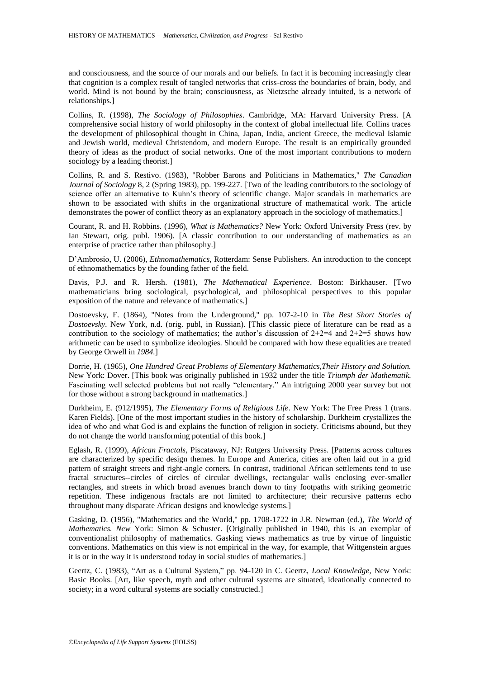and consciousness, and the source of our morals and our beliefs. In fact it is becoming increasingly clear that cognition is a complex result of tangled networks that criss-cross the boundaries of brain, body, and world. Mind is not bound by the brain; consciousness, as Nietzsche already intuited, is a network of relationships.]

Collins, R. (1998), *The Sociology of Philosophies*. Cambridge, MA: Harvard University Press. [A comprehensive social history of world philosophy in the context of global intellectual life. Collins traces the development of philosophical thought in China, Japan, India, ancient Greece, the medieval Islamic and Jewish world, medieval Christendom, and modern Europe. The result is an empirically grounded theory of ideas as the product of social networks. One of the most important contributions to modern sociology by a leading theorist.]

Collins, R. and S. Restivo. (1983), "Robber Barons and Politicians in Mathematics," *The Canadian Journal of Sociology* 8, 2 (Spring 1983), pp. 199-227. [Two of the leading contributors to the sociology of science offer an alternative to Kuhn"s theory of scientific change. Major scandals in mathematics are shown to be associated with shifts in the organizational structure of mathematical work. The article demonstrates the power of conflict theory as an explanatory approach in the sociology of mathematics.]

Courant, R. and H. Robbins. (1996), *What is Mathematics?* New York: Oxford University Press (rev. by Ian Stewart, orig. publ. 1906). [A classic contribution to our understanding of mathematics as an enterprise of practice rather than philosophy.]

D"Ambrosio, U. (2006), *Ethnomathematics,* Rotterdam: Sense Publishers. An introduction to the concept of ethnomathematics by the founding father of the field.

Davis, P.J. and R. Hersh. (1981), *The Mathematical Experience*. Boston: Birkhauser. [Two mathematicians bring sociological, psychological, and philosophical perspectives to this popular exposition of the nature and relevance of mathematics.]

Dostoevsky, F. (1864), "Notes from the Underground," pp. 107-2-10 in *The Best Short Stories of Dostoevsky.* New York, n.d. (orig. publ, in Russian). [This classic piece of literature can be read as a contribution to the sociology of mathematics; the author's discussion of  $2+2=4$  and  $2+2=5$  shows how arithmetic can be used to symbolize ideologies. Should be compared with how these equalities are treated by George Orwell in *1984.*]

Dorrie, H. (1965), *One Hundred Great Problems of Elementary Mathematics,Their History and Solution.*  New York: Dover. [This book was originally published in 1932 under the title *Triumph der Mathematik.*  Fascinating well selected problems but not really "elementary." An intriguing 2000 year survey but not for those without a strong background in mathematics.]

Durkheim, E. (912/1995), *The Elementary Forms of Religious Life*. New York: The Free Press 1 (trans. Karen Fields). [One of the most important studies in the history of scholarship. Durkheim crystallizes the idea of who and what God is and explains the function of religion in society. Criticisms abound, but they do not change the world transforming potential of this book.]

Eglash, R. (1999), *African Fractals,* Piscataway, NJ: Rutgers University Press. [Patterns across cultures are characterized by specific design themes. In Europe and America, cities are often laid out in a grid pattern of straight streets and right-angle corners. In contrast, traditional African settlements tend to use fractal structures--circles of circles of circular dwellings, rectangular walls enclosing ever-smaller rectangles, and streets in which broad avenues branch down to tiny footpaths with striking geometric repetition. These indigenous fractals are not limited to architecture; their recursive patterns echo throughout many disparate African designs and knowledge systems.]

Gasking, D. (1956), "Mathematics and the World," pp. 1708-1722 in J.R. Newman (ed.), *The World of Mathematics. New* York: Simon & Schuster. [Originally published in 1940, this is an exemplar of conventionalist philosophy of mathematics. Gasking views mathematics as true by virtue of linguistic conventions. Mathematics on this view is not empirical in the way, for example, that Wittgenstein argues it is or in the way it is understood today in social studies of mathematics.]

Geertz, C. (1983), "Art as a Cultural System," pp. 94-120 in C. Geertz, *Local Knowledge,* New York: Basic Books. [Art, like speech, myth and other cultural systems are situated, ideationally connected to society; in a word cultural systems are socially constructed.]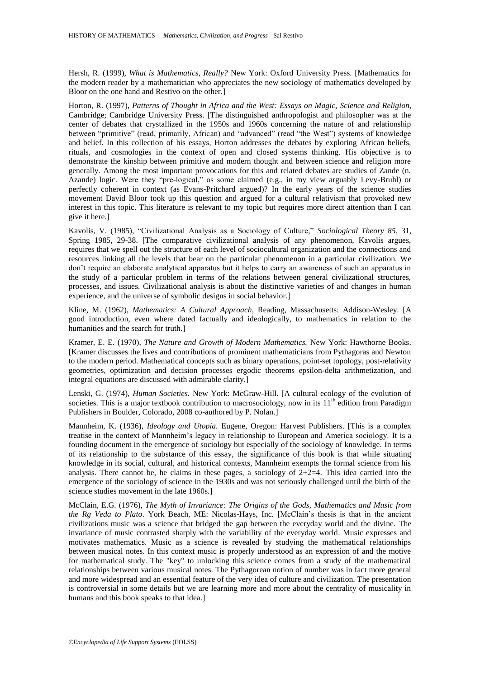Hersh, R. (1999), *What is Mathematics, Really?* New York: Oxford University Press. [Mathematics for the modern reader by a mathematician who appreciates the new sociology of mathematics developed by Bloor on the one hand and Restivo on the other.]

Horton, R. (1997), *Patterns of Thought in Africa and the West: Essays on Magic, Science and Religion,*  Cambridge; Cambridge University Press. [The distinguished anthropologist and philosopher was at the center of debates that crystallized in the 1950s and 1960s concerning the nature of and relationship between "primitive" (read, primarily, African) and "advanced" (read "the West") systems of knowledge and belief. In this collection of his essays, Horton addresses the debates by exploring African beliefs, rituals, and cosmologies in the context of open and closed systems thinking. His objective is to demonstrate the kinship between primitive and modern thought and between science and religion more generally. Among the most important provocations for this and related debates are studies of Zande (n. Azande) logic. Were they "pre-logical," as some claimed (e.g., in my view arguably Levy-Bruhl) or perfectly coherent in context (as Evans-Pritchard argued)? In the early years of the science studies movement David Bloor took up this question and argued for a cultural relativism that provoked new interest in this topic. This literature is relevant to my topic but requires more direct attention than I can give it here.]

Kavolis, V. (1985), "Civilizational Analysis as a Sociology of Culture," *Sociological Theory 85,* 31, Spring 1985, 29-38. [The comparative civilizational analysis of any phenomenon, Kavolis argues, requires that we spell out the structure of each level of sociocultural organization and the connections and resources linking all the levels that bear on the particular phenomenon in a particular civilization. We don"t require an elaborate analytical apparatus but it helps to carry an awareness of such an apparatus in the study of a particular problem in terms of the relations between general civilizational structures, processes, and issues. Civilizational analysis is about the distinctive varieties of and changes in human experience, and the universe of symbolic designs in social behavior.]

Kline, M. (1962), *Mathematics: A Cultural Approach,* Reading, Massachusetts: Addison-Wesley. [A good introduction, even where dated factually and ideologically, to mathematics in relation to the humanities and the search for truth.]

Kramer, E. E. (1970), *The Nature and Growth of Modern Mathematics.* New York: Hawthorne Books. [Kramer discusses the lives and contributions of prominent mathematicians from Pythagoras and Newton to the modern period. Mathematical concepts such as binary operations, point-set topology, post-relativity geometries, optimization and decision processes ergodic theorems epsilon-delta arithmetization, and integral equations are discussed with admirable clarity.]

Lenski, G. (1974), *Human Societies.* New York: McGraw-Hill. [A cultural ecology of the evolution of societies. This is a major textbook contribution to macrosociology, now in its  $11<sup>th</sup>$  edition from Paradigm Publishers in Boulder, Colorado, 2008 co-authored by P. Nolan.]

Mannheim, K. (1936), *Ideology and Utopia.* Eugene, Oregon: Harvest Publishers. [This is a complex treatise in the context of Mannheim"s legacy in relationship to European and America sociology. It is a founding document in the emergence of sociology but especially of the sociology of knowledge. In terms of its relationship to the substance of this essay, the significance of this book is that while situating knowledge in its social, cultural, and historical contexts, Mannheim exempts the formal science from his analysis. There cannot be, he claims in these pages, a sociology of  $2+2=4$ . This idea carried into the emergence of the sociology of science in the 1930s and was not seriously challenged until the birth of the science studies movement in the late 1960s.]

McClain, E.G. (1976), *The Myth of Invariance: The Origins of the Gods, Mathematics and Music from the Rg Veda to Plato*. York Beach, ME: Nicolas-Hays, Inc. [McClain"s thesis is that in the ancient civilizations music was a science that bridged the gap between the everyday world and the divine. The invariance of music contrasted sharply with the variability of the everyday world. Music expresses and motivates mathematics. Music as a science is revealed by studying the mathematical relationships between musical notes. In this context music is properly understood as an expression of and the motive for mathematical study. The "key" to unlocking this science comes from a study of the mathematical relationships between various musical notes. The Pythagorean notion of number was in fact more general and more widespread and an essential feature of the very idea of culture and civilization. The presentation is controversial in some details but we are learning more and more about the centrality of musicality in humans and this book speaks to that idea.]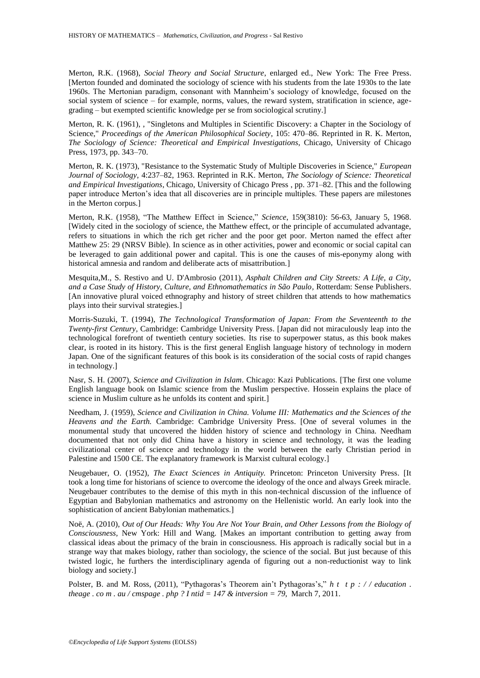Merton, R.K. (1968), *Social Theory and Social Structure*, enlarged ed., New York: The Free Press. [Merton founded and dominated the sociology of science with his students from the late 1930s to the late 1960s. The Mertonian paradigm, consonant with Mannheim"s sociology of knowledge, focused on the social system of science – for example, norms, values, the reward system, stratification in science, agegrading – but exempted scientific knowledge per se from sociological scrutiny.]

Merton, R. K. (1961), , "Singletons and Multiples in Scientific Discovery: a Chapter in the Sociology of Science," *Proceedings of the American Philosophical Society*, 105: 470–86. Reprinted in [R. K. Merton,](http://en.wikipedia.org/wiki/Robert_K._Merton) *The Sociology of Science: Theoretical and Empirical Investigations*, Chicago, University of Chicago Press, 1973, pp. 343–70.

Merton, R. K. (1973), "Resistance to the Systematic Study of Multiple Discoveries in Science," *European Journal of Sociology*, 4:237–82, 1963. Reprinted in R.K. Merton, *The Sociology of Science: Theoretical and Empirical Investigations*, Chicago, University of Chicago Press , pp. 371–82. [This and the following paper introduce Merton"s idea that all discoveries are in principle multiples. These papers are milestones in the Merton corpus.]

Merton, R.K. (1958), "The Matthew Effect in Science," *Science*, 159(3810): 56-63, January 5, 1968. [Widely cited in the sociology of science, the Matthew effect, or the principle of accumulated advantage, refers to situations in which the rich get richer and the poor get poor. Merton named the effect after Matthew 25: 29 (NRSV Bible). In science as in other activities, power and economic or social capital can be leveraged to gain additional power and capital. This is one the causes of mis-eponymy along with historical amnesia and random and deliberate acts of misattribution.]

Mesquita,M., S. Restivo and U. D'Ambrosio (2011), *Asphalt Children and City Streets: A Life, a City, and a Case Study of History, Culture, and Ethnomathematics in São Paulo,* Rotterdam: Sense Publishers. [An innovative plural voiced ethnography and history of street children that attends to how mathematics plays into their survival strategies.]

Morris-Suzuki, T. (1994), *The Technological Transformation of Japan: From the Seventeenth to the Twenty-first Century,* Cambridge: Cambridge University Press. [Japan did not miraculously leap into the technological forefront of twentieth century societies. Its rise to superpower status, as this book makes clear, is rooted in its history. This is the first general English language history of technology in modern Japan. One of the significant features of this book is its consideration of the social costs of rapid changes in technology.]

Nasr, S. H. (2007), *Science and Civilization in Islam*. Chicago: Kazi Publications. [The first one volume English language book on Islamic science from the Muslim perspective. Hossein explains the place of science in Muslim culture as he unfolds its content and spirit.]

Needham, J. (1959), *Science and Civilization in China. Volume III: Mathematics and the Sciences of the Heavens and the Earth.* Cambridge: Cambridge University Press. [One of several volumes in the monumental study that uncovered the hidden history of science and technology in China. Needham documented that not only did China have a history in science and technology, it was the leading civilizational center of science and technology in the world between the early Christian period in Palestine and 1500 CE. The explanatory framework is Marxist cultural ecology.]

Neugebauer, O. (1952), *The Exact Sciences in Antiquity.* Princeton: Princeton University Press. [It took a long time for historians of science to overcome the ideology of the once and always Greek miracle. Neugebauer contributes to the demise of this myth in this non-technical discussion of the influence of Egyptian and Babylonian mathematics and astronomy on the Hellenistic world. An early look into the sophistication of ancient Babylonian mathematics.]

Noë, A. (2010), *Out of Our Heads: Why You Are Not Your Brain, and Other Lessons from the Biology of Consciousness,* New York: Hill and Wang. [Makes an important contribution to getting away from classical ideas about the primacy of the brain in consciousness. His approach is radically social but in a strange way that makes biology, rather than sociology, the science of the social. But just because of this twisted logic, he furthers the interdisciplinary agenda of figuring out a non-reductionist way to link biology and society.]

Polster, B. and M. Ross, (2011), "Pythagoras's Theorem ain't Pythagoras's," *h t t p* : // *education* . *theage . co m . au / cmspage . php ? I ntid = 147 & intversion = 79*, March 7, 2011.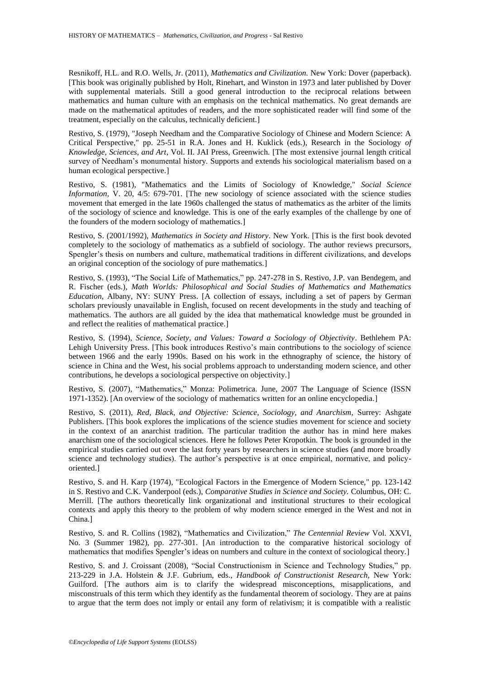Resnikoff, H.L. and R.O. Wells, Jr. (2011), *Mathematics and Civilization.* New York: Dover (paperback). [This book was originally published by Holt, Rinehart, and Winston in 1973 and later published by Dover with supplemental materials. Still a good general introduction to the reciprocal relations between mathematics and human culture with an emphasis on the technical mathematics. No great demands are made on the mathematical aptitudes of readers, and the more sophisticated reader will find some of the treatment, especially on the calculus, technically deficient.]

Restivo, S. (1979), "Joseph Needham and the Comparative Sociology of Chinese and Modern Science: A Critical Perspective," pp. 25-51 in R.A. Jones and H. Kuklick (eds.), Research in the Sociology *of Knowledge, Sciences, and Art*, Vol. II. JAI Press, Greenwich. [The most extensive journal length critical survey of Needham's monumental history. Supports and extends his sociological materialism based on a human ecological perspective.]

Restivo, S. (1981), "Mathematics and the Limits of Sociology of Knowledge," *Social Science Information, V. 20, 4/5: 679-701.* [The new sociology of science associated with the science studies movement that emerged in the late 1960s challenged the status of mathematics as the arbiter of the limits of the sociology of science and knowledge. This is one of the early examples of the challenge by one of the founders of the modern sociology of mathematics.]

Restivo, S. (2001/1992), *Mathematics in Society and History*. New York. [This is the first book devoted completely to the sociology of mathematics as a subfield of sociology. The author reviews precursors, Spengler's thesis on numbers and culture, mathematical traditions in different civilizations, and develops an original conception of the sociology of pure mathematics.]

Restivo, S. (1993), "The Social Life of Mathematics," pp. 247-278 in S. Restivo, J.P. van Bendegem, and R. Fischer (eds.), *Math Worlds: Philosophical and Social Studies of Mathematics and Mathematics Education,* Albany, NY: SUNY Press. [A collection of essays, including a set of papers by German scholars previously unavailable in English, focused on recent developments in the study and teaching of mathematics. The authors are all guided by the idea that mathematical knowledge must be grounded in and reflect the realities of mathematical practice.]

Restivo, S. (1994), *Science, Society, and Values: Toward a Sociology of Objectivity*. Bethlehem PA: Lehigh University Press. [This book introduces Restivo's main contributions to the sociology of science between 1966 and the early 1990s. Based on his work in the ethnography of science, the history of science in China and the West, his social problems approach to understanding modern science, and other contributions, he develops a sociological perspective on objectivity.]

Restivo, S. (2007), "Mathematics," Monza: Polimetrica. June, 2007 The Language of Science (ISSN 1971-1352). [An overview of the sociology of mathematics written for an online encyclopedia.]

Restivo, S. (2011), *Red, Black, and Objective: Science, Sociology, and Anarchism,* Surrey: Ashgate Publishers. [This book explores the implications of the science studies movement for science and society in the context of an anarchist tradition. The particular tradition the author has in mind here makes anarchism one of the sociological sciences. Here he follows Peter Kropotkin. The book is grounded in the empirical studies carried out over the last forty years by researchers in science studies (and more broadly science and technology studies). The author"s perspective is at once empirical, normative, and policyoriented.]

Restivo, S. and H. Karp (1974), "Ecological Factors in the Emergence of Modern Science," pp. 123-142 in S. Restivo and C.K. Vanderpool (eds.), *Comparative Studies in Science and Society.* Columbus, OH: C. Merrill. [The authors theoretically link organizational and institutional structures to their ecological contexts and apply this theory to the problem of why modern science emerged in the West and not in China.]

Restivo, S. and R. Collins (1982), "Mathematics and Civilization," *The Centennial Review* Vol. XXVI, No. 3 (Summer 1982), pp. 277-301. [An introduction to the comparative historical sociology of mathematics that modifies Spengler's ideas on numbers and culture in the context of sociological theory.

Restivo, S. and J. Croissant (2008), "Social Constructionism in Science and Technology Studies," pp. 213-229 in J.A. Holstein & J.F. Gubrium, eds., *Handbook of Constructionist Research,* New York: Guilford. [The authors aim is to clarify the widespread misconceptions, misapplications, and misconstruals of this term which they identify as the fundamental theorem of sociology. They are at pains to argue that the term does not imply or entail any form of relativism; it is compatible with a realistic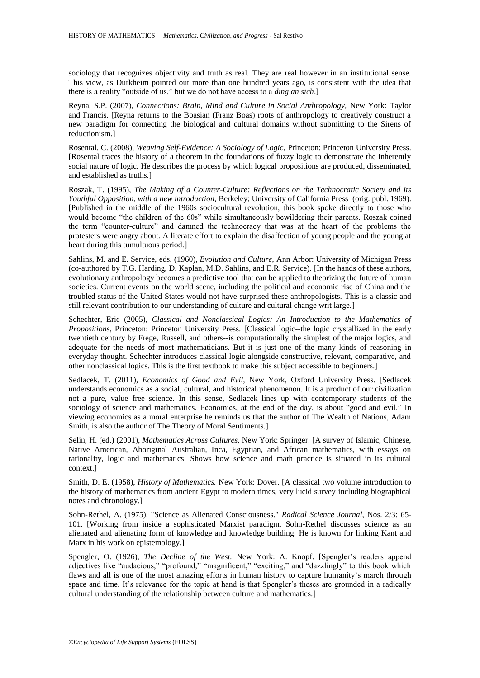sociology that recognizes objectivity and truth as real. They are real however in an institutional sense. This view, as Durkheim pointed out more than one hundred years ago, is consistent with the idea that there is a reality "outside of us," but we do not have access to a *ding an sich*.]

Reyna, S.P. (2007), *Connections: Brain, Mind and Culture in Social Anthropology,* New York: Taylor and Francis. [Reyna returns to the Boasian (Franz Boas) roots of anthropology to creatively construct a new paradigm for connecting the biological and cultural domains without submitting to the Sirens of reductionism.]

Rosental, C. (2008), *Weaving Self-Evidence: A Sociology of Logic,* Princeton: Princeton University Press. [Rosental traces the history of a theorem in the foundations of fuzzy logic to demonstrate the inherently social nature of logic. He describes the process by which logical propositions are produced, disseminated, and established as truths.]

Roszak, T. (1995), *The Making of a Counter-Culture: Reflections on the Technocratic Society and its Youthful Opposition, with a new introduction,* Berkeley; University of California Press (orig. publ. 1969). [Published in the middle of the 1960s sociocultural revolution, this book spoke directly to those who would become "the children of the 60s" while simultaneously bewildering their parents. Roszak coined the term "counter-culture" and damned the technocracy that was at the heart of the problems the protesters were angry about. A literate effort to explain the disaffection of young people and the young at heart during this tumultuous period.]

Sahlins, M. and E. Service, eds. (1960), *Evolution and Culture,* Ann Arbor: University of Michigan Press (co-authored by T.G. Harding, D. Kaplan, M.D. Sahlins, and E.R. Service). [In the hands of these authors, evolutionary anthropology becomes a predictive tool that can be applied to theorizing the future of human societies. Current events on the world scene, including the political and economic rise of China and the troubled status of the United States would not have surprised these anthropologists. This is a classic and still relevant contribution to our understanding of culture and cultural change writ large.]

[Schechter,](http://www.math.vanderbilt.edu/~schectex/) Eric (2005), *Classical and Nonclassical Logics: An Introduction to the Mathematics of Propositions*, Princeton: Princeton University Press. [Classical logic--the logic crystallized in the early twentieth century by Frege, Russell, and others--is computationally the simplest of the major logics, and adequate for the needs of most mathematicians. But it is just one of the many kinds of reasoning in everyday thought. Schechter introduces classical logic alongside constructive, relevant, comparative, and other nonclassical logics. This is the first textbook to make this subject accessible to beginners.]

Sedlacek, T. (2011), *Economics of Good and Evil,* New York, Oxford University Press. [Sedlacek understands economics as a social, cultural, and historical phenomenon. It is a product of our civilization not a pure, value free science. In this sense, Sedlacek lines up with contemporary students of the sociology of science and mathematics. Economics, at the end of the day, is about "good and evil." In viewing economics as a moral enterprise he reminds us that the author of The Wealth of Nations, Adam Smith, is also the author of The Theory of Moral Sentiments.]

Selin, H. (ed.) (2001), *Mathematics Across Cultures,* New York: Springer. [A survey of Islamic, Chinese, Native American, Aboriginal Australian, Inca, Egyptian, and African mathematics, with essays on rationality, logic and mathematics. Shows how science and math practice is situated in its cultural context.]

Smith, D. E. (1958), *History of Mathematics.* New York: Dover. [A classical two volume introduction to the history of mathematics from ancient Egypt to modern times, very lucid survey including biographical notes and chronology.]

Sohn-Rethel, A. (1975), "Science as Alienated Consciousness." *Radical Science Journal,* Nos. 2/3: 65- 101. [Working from inside a sophisticated Marxist paradigm, Sohn-Rethel discusses science as an alienated and alienating form of knowledge and knowledge building. He is known for linking Kant and Marx in his work on epistemology.]

Spengler, O. (1926), *The Decline of the West*. New York: A. Knopf. [Spengler's readers append adjectives like "audacious," "profound," "magnificent," "exciting," and "dazzlingly" to this book which flaws and all is one of the most amazing efforts in human history to capture humanity's march through space and time. It's relevance for the topic at hand is that Spengler's theses are grounded in a radically cultural understanding of the relationship between culture and mathematics.]